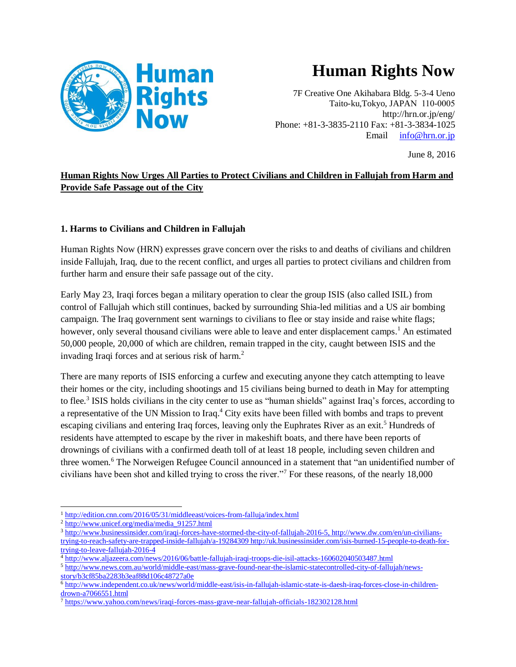

# **Human Rights Now**

7F Creative One Akihabara Bldg. 5-3-4 Ueno Taito-ku,Tokyo, JAPAN 110-0005 http://hrn.or.jp/eng/ Phone: +81-3-3835-2110 Fax: +81-3-3834-1025 Email [info@hrn.or.jp](mailto:info@hrn.or.jp)

June 8, 2016

## **Human Rights Now Urges All Parties to Protect Civilians and Children in Fallujah from Harm and Provide Safe Passage out of the City**

#### **1. Harms to Civilians and Children in Fallujah**

Human Rights Now (HRN) expresses grave concern over the risks to and deaths of civilians and children inside Fallujah, Iraq, due to the recent conflict, and urges all parties to protect civilians and children from further harm and ensure their safe passage out of the city.

Early May 23, Iraqi forces began a military operation to clear the group ISIS (also called ISIL) from control of Fallujah which still continues, backed by surrounding Shia-led militias and a US air bombing campaign. The Iraq government sent warnings to civilians to flee or stay inside and raise white flags; however, only several thousand civilians were able to leave and enter displacement camps.<sup>1</sup> An estimated 50,000 people, 20,000 of which are children, remain trapped in the city, caught between ISIS and the invading Iraqi forces and at serious risk of harm. 2

There are many reports of ISIS enforcing a curfew and executing anyone they catch attempting to leave their homes or the city, including shootings and 15 civilians being burned to death in May for attempting to flee.<sup>3</sup> ISIS holds civilians in the city center to use as "human shields" against Iraq's forces, according to a representative of the UN Mission to Iraq.<sup>4</sup> City exits have been filled with bombs and traps to prevent escaping civilians and entering Iraq forces, leaving only the Euphrates River as an exit.<sup>5</sup> Hundreds of residents have attempted to escape by the river in makeshift boats, and there have been reports of drownings of civilians with a confirmed death toll of at least 18 people, including seven children and three women. <sup>6</sup> The Norweigen Refugee Council announced in a statement that "an unidentified number of civilians have been shot and killed trying to cross the river."<sup>7</sup> For these reasons, of the nearly 18,000

 $\overline{\phantom{0}}$ <sup>1</sup> <http://edition.cnn.com/2016/05/31/middleeast/voices-from-falluja/index.html>

<sup>2</sup> [http://www.unicef.org/media/media\\_91257.html](http://www.unicef.org/media/media_91257.html)

<sup>3</sup> [http://www.businessinsider.com/iraqi-forces-have-stormed-the-city-of-fallujah-2016-5,](http://www.businessinsider.com/iraqi-forces-have-stormed-the-city-of-fallujah-2016-5) [http://www.dw.com/en/un-civilians](http://www.dw.com/en/un-civilians-trying-to-reach-safety-are-trapped-inside-fallujah/a-19284309)[trying-to-reach-safety-are-trapped-inside-fallujah/a-19284309](http://www.dw.com/en/un-civilians-trying-to-reach-safety-are-trapped-inside-fallujah/a-19284309) [http://uk.businessinsider.com/isis-burned-15-people-to-death-for](http://uk.businessinsider.com/isis-burned-15-people-to-death-for-trying-to-leave-fallujah-2016-4)[trying-to-leave-fallujah-2016-4](http://uk.businessinsider.com/isis-burned-15-people-to-death-for-trying-to-leave-fallujah-2016-4)

<sup>4</sup> <http://www.aljazeera.com/news/2016/06/battle-fallujah-iraqi-troops-die-isil-attacks-160602040503487.html>

<sup>5</sup> [http://www.news.com.au/world/middle-east/mass-grave-found-near-the-islamic-statecontrolled-city-of-fallujah/news](http://www.news.com.au/world/middle-east/mass-grave-found-near-the-islamic-statecontrolled-city-of-fallujah/news-story/b3cf85ba2283b3eaf88d106c48727a0e)[story/b3cf85ba2283b3eaf88d106c48727a0e](http://www.news.com.au/world/middle-east/mass-grave-found-near-the-islamic-statecontrolled-city-of-fallujah/news-story/b3cf85ba2283b3eaf88d106c48727a0e)

<sup>6</sup> [http://www.independent.co.uk/news/world/middle-east/isis-in-fallujah-islamic-state-is-daesh-iraq-forces-close-in-children](http://www.independent.co.uk/news/world/middle-east/isis-in-fallujah-islamic-state-is-daesh-iraq-forces-close-in-children-drown-a7066551.html)[drown-a7066551.html](http://www.independent.co.uk/news/world/middle-east/isis-in-fallujah-islamic-state-is-daesh-iraq-forces-close-in-children-drown-a7066551.html)

 $\frac{1}{7}$ <https://www.yahoo.com/news/iraqi-forces-mass-grave-near-fallujah-officials-182302128.html>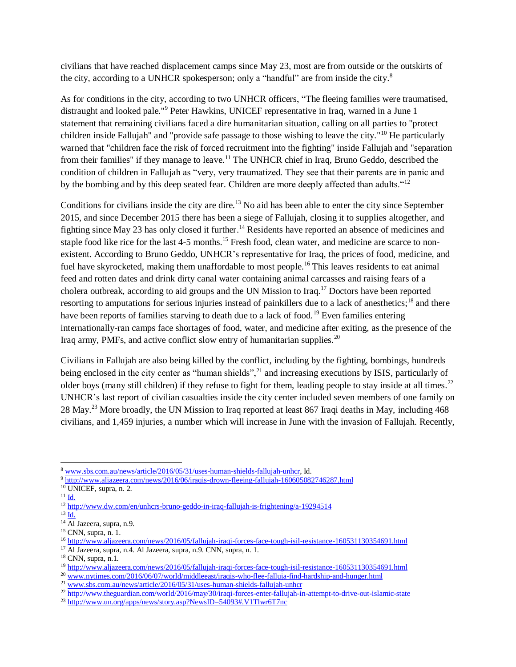civilians that have reached displacement camps since May 23, most are from outside or the outskirts of the city, according to a UNHCR spokesperson; only a "handful" are from inside the city.<sup>8</sup>

As for conditions in the city, according to two UNHCR officers, "The fleeing families were traumatised, distraught and looked pale."<sup>9</sup> Peter Hawkins, UNICEF representative in Iraq, warned in a June 1 statement that remaining civilians faced a dire humanitarian situation, calling on all parties to "protect children inside Fallujah" and "provide safe passage to those wishing to leave the city."<sup>10</sup> He particularly warned that "children face the risk of forced recruitment into the fighting" inside Fallujah and "separation from their families" if they manage to leave.<sup>11</sup> The UNHCR chief in Iraq, Bruno Geddo, described the condition of children in Fallujah as "very, very traumatized. They see that their parents are in panic and by the bombing and by this deep seated fear. Children are more deeply affected than adults."<sup>12</sup>

Conditions for civilians inside the city are dire.<sup>13</sup> No aid has been able to enter the city since September 2015, and since December 2015 there has been a siege of Fallujah, closing it to supplies altogether, and fighting since May 23 has only closed it further.<sup>14</sup> Residents have reported an absence of medicines and staple food like rice for the last 4-5 months.<sup>15</sup> Fresh food, clean water, and medicine are scarce to nonexistent. According to Bruno Geddo, UNHCR's representative for Iraq, the prices of food, medicine, and fuel have skyrocketed, making them unaffordable to most people.<sup>16</sup> This leaves residents to eat animal feed and rotten dates and drink dirty canal water containing animal carcasses and raising fears of a cholera outbreak, according to aid groups and the UN Mission to Iraq.<sup>17</sup> Doctors have been reported resorting to amputations for serious injuries instead of painkillers due to a lack of anesthetics;<sup>18</sup> and there have been reports of families starving to death due to a lack of food.<sup>19</sup> Even families entering internationally-ran camps face shortages of food, water, and medicine after exiting, as the presence of the Iraq army, PMFs, and active conflict slow entry of humanitarian supplies.<sup>20</sup>

Civilians in Fallujah are also being killed by the conflict, including by the fighting, bombings, hundreds being enclosed in the city center as "human shields",<sup>21</sup> and increasing executions by ISIS, particularly of older boys (many still children) if they refuse to fight for them, leading people to stay inside at all times.<sup>22</sup> UNHCR's last report of civilian casualties inside the city center included seven members of one family on 28 May.<sup>23</sup> More broadly, the UN Mission to Iraq reported at least 867 Iraqi deaths in May, including 468 civilians, and 1,459 injuries, a number which will increase in June with the invasion of Fallujah. Recently,

l <sup>8</sup> [www.sbs.com.au/news/article/2016/05/31/uses-human-shields-fallujah-unhcr,](http://www.sbs.com.au/news/article/2016/05/31/uses-human-shields-fallujah-unhcr) Id.

<sup>9</sup> <http://www.aljazeera.com/news/2016/06/iraqis-drown-fleeing-fallujah-160605082746287.html>

<sup>10</sup> UNICEF, supra, n. 2.

 $^{11}$  [Id.](http://www.unicef.org/media/media_91257.html)

 $\frac{12 \text{ http://www.dw.com/en/unhcrs-bruno-geddo-in-iraq-falluiah-is-frightening/a-19294514}}{12 \text{ http://www.dw.com/en/unhcrs-bruno-geddo-in-iraq-falluiah-is-frightening/a-19294514}}$ 

 $^{13}$   $\overline{Id}$ .

<sup>&</sup>lt;sup>14</sup> Al Jazeera, supra, n.9.

<sup>15</sup> CNN, supra, n. 1.

<sup>16</sup> <http://www.aljazeera.com/news/2016/05/fallujah-iraqi-forces-face-tough-isil-resistance-160531130354691.html>

<sup>17</sup> Al Jazeera, supra, n.4. Al Jazeera, supra, n.9. CNN, supra, n. 1.

<sup>18</sup> CNN, supra, n.1.

<sup>19</sup> <http://www.aljazeera.com/news/2016/05/fallujah-iraqi-forces-face-tough-isil-resistance-160531130354691.html>

<sup>&</sup>lt;sup>20</sup> [www.nytimes.com/2016/06/07/world/middleeast/iraqis-who-flee-falluja-find-hardship-and-hunger.html](http://www.nytimes.com/2016/06/07/world/middleeast/iraqis-who-flee-falluja-find-hardship-and-hunger.html)

<sup>&</sup>lt;sup>21</sup> [www.sbs.com.au/news/article/2016/05/31/uses-human-shields-fallujah-unhcr](http://www.sbs.com.au/news/article/2016/05/31/uses-human-shields-fallujah-unhcr)

<sup>&</sup>lt;sup>22</sup> <http://www.theguardian.com/world/2016/may/30/iraqi-forces-enter-fallujah-in-attempt-to-drive-out-islamic-state>

<sup>&</sup>lt;sup>23</sup> <http://www.un.org/apps/news/story.asp?NewsID=54093#.V1Tlwr6T7nc>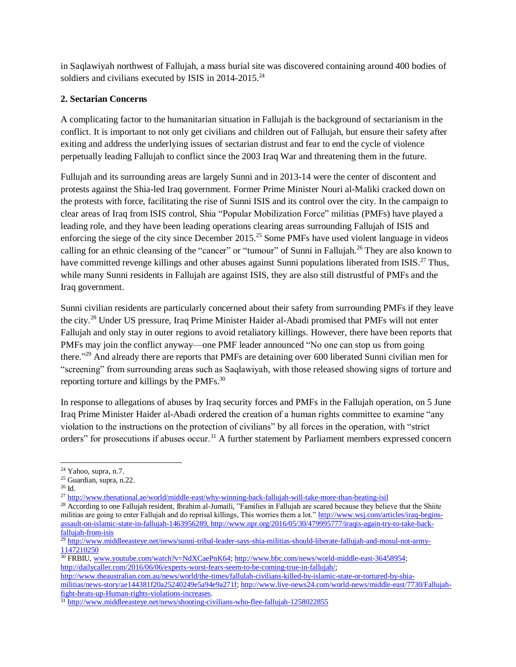in Saqlawiyah northwest of Fallujah, a mass burial site was discovered containing around 400 bodies of soldiers and civilians executed by ISIS in 2014-2015.<sup>24</sup>

#### **2. Sectarian Concerns**

A complicating factor to the humanitarian situation in Fallujah is the background of sectarianism in the conflict. It is important to not only get civilians and children out of Fallujah, but ensure their safety after exiting and address the underlying issues of sectarian distrust and fear to end the cycle of violence perpetually leading Fallujah to conflict since the 2003 Iraq War and threatening them in the future.

Fullujah and its surrounding areas are largely Sunni and in 2013-14 were the center of discontent and protests against the Shia-led Iraq government. Former Prime Minister Nouri al-Maliki cracked down on the protests with force, facilitating the rise of Sunni ISIS and its control over the city. In the campaign to clear areas of Iraq from ISIS control, Shia "Popular Mobilization Force" militias (PMFs) have played a leading role, and they have been leading operations clearing areas surrounding Fallujah of ISIS and enforcing the siege of the city since December  $2015<sup>25</sup>$  Some PMFs have used violent language in videos calling for an ethnic cleansing of the "cancer" or "tumour" of Sunni in Fallujah.<sup>26</sup> They are also known to have committed revenge killings and other abuses against Sunni populations liberated from ISIS.<sup>27</sup> Thus, while many Sunni residents in Fallujah are against ISIS, they are also still distrustful of PMFs and the Iraq government.

Sunni civilian residents are particularly concerned about their safety from surrounding PMFs if they leave the city.<sup>28</sup> Under US pressure, Iraq Prime Minister Haider al-Abadi promised that PMFs will not enter Fallujah and only stay in outer regions to avoid retaliatory killings. However, there have been reports that PMFs may join the conflict anyway—one PMF leader announced "No one can stop us from going there."<sup>29</sup> And already there are reports that PMFs are detaining over 600 liberated Sunni civilian men for "screening" from surrounding areas such as Saqlawiyah, with those released showing signs of torture and reporting torture and killings by the PMFs. $^{30}$ 

In response to allegations of abuses by Iraq security forces and PMFs in the Fallujah operation, on 5 June Iraq Prime Minister Haider al-Abadi ordered the creation of a human rights committee to examine "any violation to the instructions on the protection of civilians" by all forces in the operation, with "strict orders" for prosecutions if abuses occur.<sup>31</sup> A further statement by Parliament members expressed concern

<sup>26</sup> Id.

l

<sup>30</sup> FRBIU, [www.youtube.com/watch?v=NdXCaePnK64;](http://www.youtube.com/watch?v=NdXCaePnK64) [http://www.bbc.com/news/world-middle-east-36458954;](http://www.bbc.com/news/world-middle-east-36458954) [http://dailycaller.com/2016/06/06/experts-worst-fears-seem-to-be-coming-true-in-fallujah/;](http://dailycaller.com/2016/06/06/experts-worst-fears-seem-to-be-coming-true-in-fallujah/) [http://www.theaustralian.com.au/news/world/the-times/fallulah-civilians-killed-by-islamic-state-or-tortured-by-shia-](http://www.theaustralian.com.au/news/world/the-times/fallulah-civilians-killed-by-islamic-state-or-tortured-by-shia-militias/news-story/ae144381f20a25240249e5a94e9a271f)

[militias/news-story/ae144381f20a25240249e5a94e9a271f;](http://www.theaustralian.com.au/news/world/the-times/fallulah-civilians-killed-by-islamic-state-or-tortured-by-shia-militias/news-story/ae144381f20a25240249e5a94e9a271f) [http://www.live-news24.com/world-news/middle-east/7730/Fallujah](http://www.live-news24.com/world-news/middle-east/7730/Fallujah-fight-heats-up-Human-rights-violations-increases)[fight-heats-up-Human-rights-violations-increases.](http://www.live-news24.com/world-news/middle-east/7730/Fallujah-fight-heats-up-Human-rights-violations-increases)

 $24$  Yahoo, supra, n.7.

<sup>25</sup> Guardian, supra, n.22.

<sup>&</sup>lt;sup>27</sup> <http://www.thenational.ae/world/middle-east/why-winning-back-fallujah-will-take-more-than-beating-isil>

<sup>&</sup>lt;sup>28</sup> According to one Fallujah resident, Ibrahim al-Jumaili, "Families in Fallujah are scared because they believe that the Shiite militias are going to enter Fallujah and do reprisal killings, This worries them a lot.[" http://www.wsj.com/articles/iraq-begins](http://www.wsj.com/articles/iraq-begins-assault-on-islamic-state-in-fallujah-1463956289)[assault-on-islamic-state-in-fallujah-1463956289,](http://www.wsj.com/articles/iraq-begins-assault-on-islamic-state-in-fallujah-1463956289) [http://www.npr.org/2016/05/30/479995777/iraqis-again-try-to-take-back](http://www.npr.org/2016/05/30/479995777/iraqis-again-try-to-take-back-fallujah-from-isis)[fallujah-from-isis](http://www.npr.org/2016/05/30/479995777/iraqis-again-try-to-take-back-fallujah-from-isis)

<sup>&</sup>lt;sup>29</sup> [http://www.middleeasteye.net/news/sunni-tribal-leader-says-shia-militias-should-liberate-fallujah-and-mosul-not-army-](http://www.middleeasteye.net/news/sunni-tribal-leader-says-shia-militias-should-liberate-fallujah-and-mosul-not-army-1147210250)[1147210250](http://www.middleeasteye.net/news/sunni-tribal-leader-says-shia-militias-should-liberate-fallujah-and-mosul-not-army-1147210250)

<sup>&</sup>lt;sup>31</sup> <http://www.middleeasteye.net/news/shooting-civilians-who-flee-fallujah-1258022855>